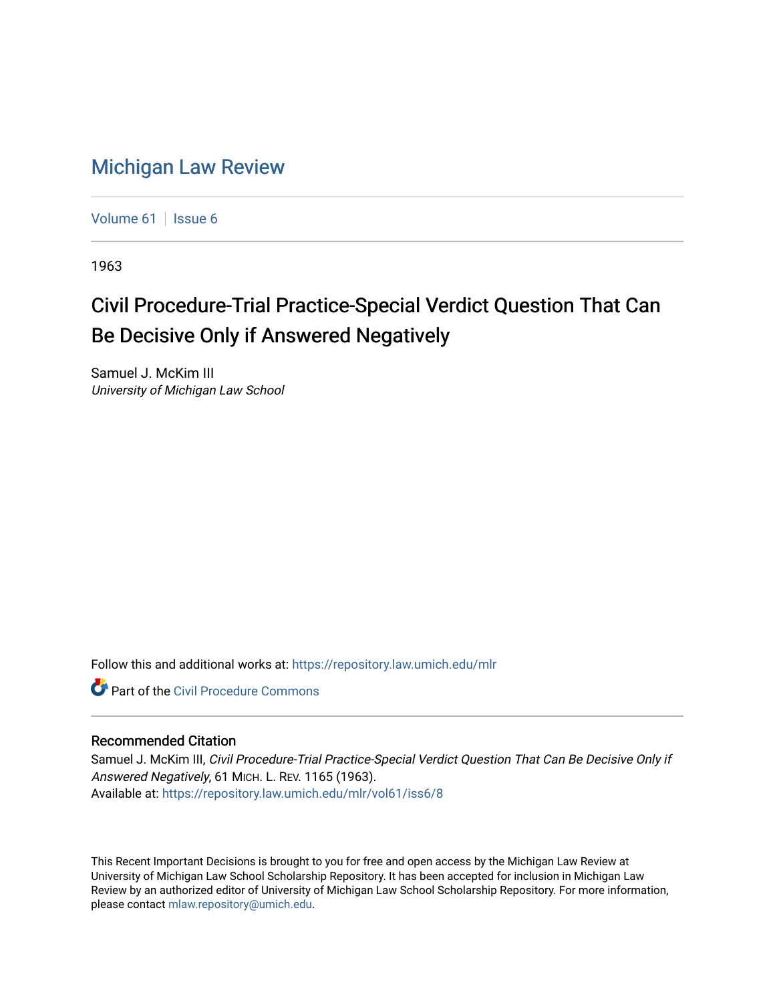## [Michigan Law Review](https://repository.law.umich.edu/mlr)

[Volume 61](https://repository.law.umich.edu/mlr/vol61) | [Issue 6](https://repository.law.umich.edu/mlr/vol61/iss6)

1963

## Civil Procedure-Trial Practice-Special Verdict Question That Can Be Decisive Only if Answered Negatively

Samuel J. McKim III University of Michigan Law School

Follow this and additional works at: [https://repository.law.umich.edu/mlr](https://repository.law.umich.edu/mlr?utm_source=repository.law.umich.edu%2Fmlr%2Fvol61%2Fiss6%2F8&utm_medium=PDF&utm_campaign=PDFCoverPages) 

**C** Part of the Civil Procedure Commons

## Recommended Citation

Samuel J. McKim III, Civil Procedure-Trial Practice-Special Verdict Question That Can Be Decisive Only if Answered Negatively, 61 MICH. L. REV. 1165 (1963). Available at: [https://repository.law.umich.edu/mlr/vol61/iss6/8](https://repository.law.umich.edu/mlr/vol61/iss6/8?utm_source=repository.law.umich.edu%2Fmlr%2Fvol61%2Fiss6%2F8&utm_medium=PDF&utm_campaign=PDFCoverPages)

This Recent Important Decisions is brought to you for free and open access by the Michigan Law Review at University of Michigan Law School Scholarship Repository. It has been accepted for inclusion in Michigan Law Review by an authorized editor of University of Michigan Law School Scholarship Repository. For more information, please contact [mlaw.repository@umich.edu.](mailto:mlaw.repository@umich.edu)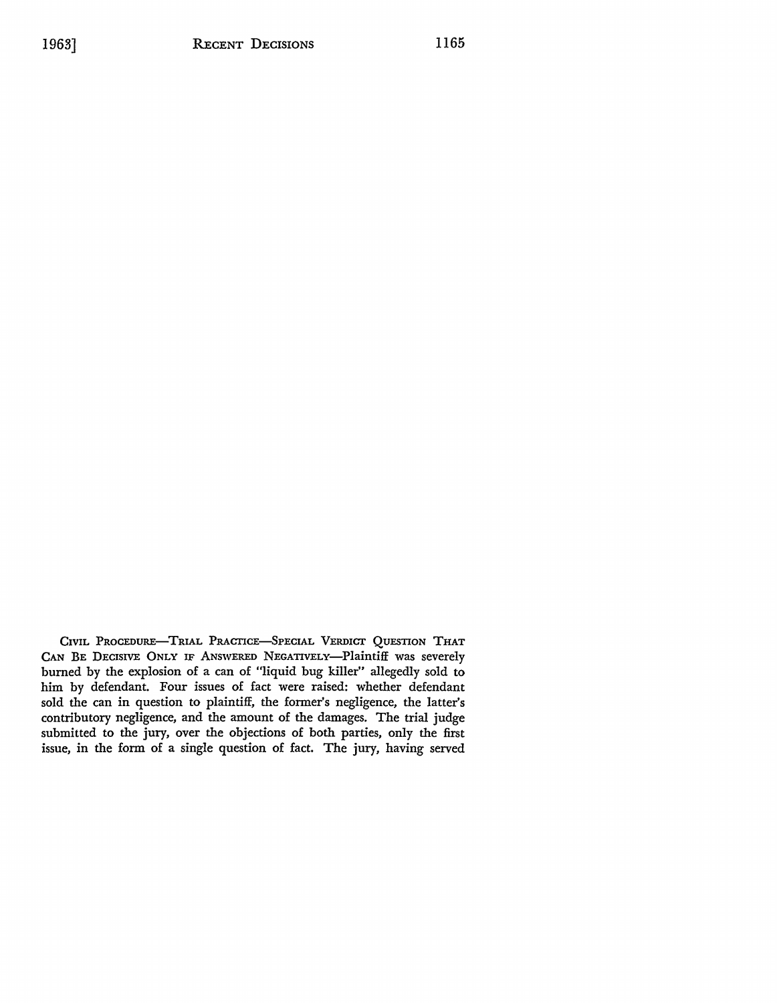CIVIL PROCEDURE-TRIAL PRACTICE-SPECIAL VERDICT QUESTION THAT CAN BE DECISIVE ONLY IF ANSWERED NEGATIVELY-Plaintiff was severely burned by the explosion of a can of "liquid bug killer" allegedly sold to him by defendant. Four issues of fact were raised: whether defendant sold the can in question to plaintiff, the former's negligence, the latter's contributory negligence, and the amount of the damages. The trial judge submitted to the jury, over the objections of both parties, only the first issue, in the form of a single question of fact. The jury, having served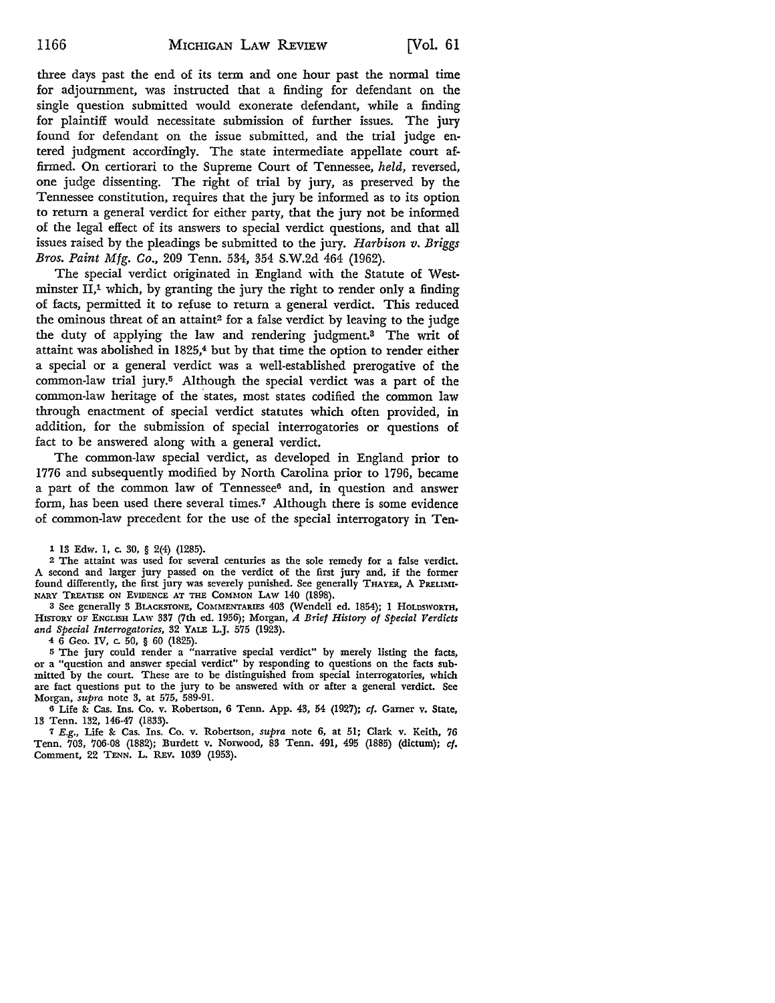three days past the end of its term and one hour past the normal time for adjournment, was instructed that a finding for defendant on the single question submitted would exonerate defendant, while a finding for plaintiff would necessitate submission of further issues. The jury found for defendant on the issue submitted, and the trial judge entered judgment accordingly. The state intermediate appellate court affirmed. On certiorari to the Supreme Court of Tennessee, *held,* reversed, one judge dissenting. The right of trial by jury, as preserved by the Tennessee constitution, requires that the jury be informed as to its option to return a general verdict for either party, that the jury not be informed of the legal effect of its answers to special verdict questions, and that all issues raised by the pleadings be submitted to the jury. *Harbison v. Briggs Bros. Paint Mfg. Co.,* 209 Tenn. 534, 354 S.W.2d 464 (1962).

The special verdict originated in England with the Statute of Westminster  $II<sub>1</sub><sup>1</sup>$  which, by granting the jury the right to render only a finding of facts, permitted it to refuse to return a general verdict. This reduced the ominous threat of an attaint<sup>2</sup> for a false verdict by leaving to the judge the duty of applying the law and rendering judgment.3 The writ of attaint was abolished in 1825,<sup>4</sup> but by that time the option to render either a special or a general verdict was a well-established prerogative of the common-law trial jury.5 Although the special verdict was a part of the common-law heritage of the 'states, most states codified the common law through enactment of special verdict statutes which often provided, in addition, for the submission of special interrogatories or questions of fact to be answered along with a general verdict.

The common-law special verdict, as developed in England prior to 1776 and subsequently modified by North Carolina prior to 1796, became a part of the common law of Tennessee6 and, in question and answer form, has been used there several times.7 Although there is some evidence of common-law precedent for the use of the special interrogatory in Ten-

1 13 Edw. 1, c. 30, § 2(4) (1285).

<sup>2</sup>The attaint was used for several centuries as the sole remedy for a false verdict. A second and larger jury passed on the verdict of the first jury and, if the former found differently, the first jury was severely punished. See generally THAYER, A PRELIMI-NARY TREATISE ON EVIDENCE AT THE COMMON LAW 140 (1898).

3 See generally 3 BLACKSTONE, COMMENTARIES 403 (Wendell ed. 1854); 1 HOLDSWORTH, HISTORY OF ENGLISH LAw 337 (7th ed. 1956); Morgan, *A Brief History of Special Verdicts and Special Interrogatories,* 32 YALE L.J. 575 (1923).

 $4\,6$  Geo. IV, c. 50, § 60 (1825).

<sup>5</sup>The jury could render a "narrative special verdict" by merely listing the facts, or a "question and answer special verdict" by responding to questions on the facts submitted by the court. These are to be distinguished from special interrogatories, which are fact questions put to the jury to be answered with or after a general verdict. See Morgan, *supra* note 3, at 575, 589-91.

6 Life 8: Cas. Ins. Co. v. Robertson, 6 Tenn. App. 43, 54 (1927); *cf.* Gamer v. State, 13 Tenn. 132, 146-47 (1833).

<sup>7</sup>E.g., Life 8: Cas. Ins. Co. v. Robertson, *supra* note 6, at 51; Clark v. Keith, 76 Tenn. 703, 706-08 (1882); Burdett v. Norwood, 83 Tenn. 491, 495 (1885) (dictum); *cf.*  Comment, 22 TENN. L. REv. 1039 (1953).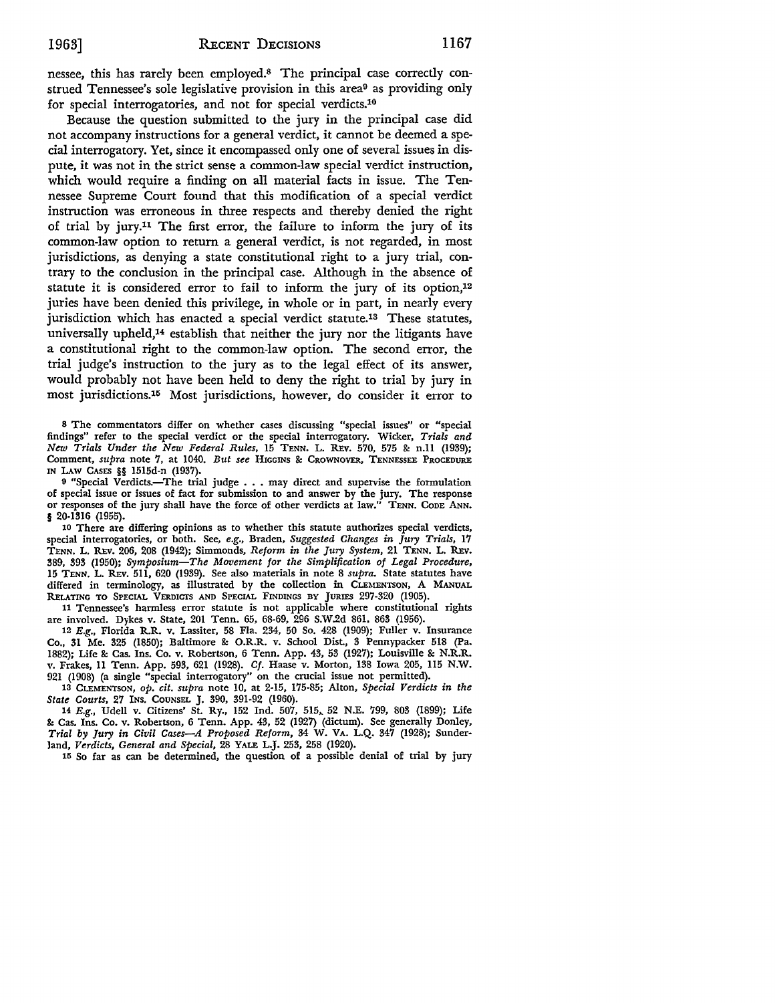nessee, this has rarely been employed.8 The principal case correctly construed Tennessee's sole legislative provision in this area9 as providing only for special interrogatories, and not for special verdicts.10

Because the question submitted to the jury in the principal case did not accompany instructions for a general verdict, it cannot be deemed a special interrogatory. Yet, since it encompassed only one of several issues in dispute, it was not in the strict sense a common-law special verdict instruction, which would require a finding on all material facts in issue. The Tennessee Supreme Court found that this modification of a special verdict instruction was erroneous in three respects and thereby denied the right of trial by jury.11 The first error, the failure to inform the jury of its common-law option to return a general verdict, is not regarded, in most jurisdictions, as denying a state constitutional right to a jury trial, contrary to the conclusion in the principal case. Although in the absence of statute it is considered error to fail to inform the jury of its option,12 juries have been denied this privilege, in whole or in part, in nearly every jurisdiction which has enacted a special verdict statute.<sup>13</sup> These statutes, universally upheld,<sup>14</sup> establish that neither the jury nor the litigants have a constitutional right to the common-law option. The second error, the trial judge's instruction to the jury as to the legal effect of its answer, would probably not have been held to deny the right to trial by jury in most jurisdictions.<sup>15</sup> Most jurisdictions, however, do consider it error to

<sup>8</sup>The commentators differ on whether cases discussing "special issues" or "special findings" refer to the special verdict or the special interrogatory. Wicker, *Trials and New Trials Under the New Federal Rules,* 15 TENN. L. REv. 570, 575 &: n.11 (1939); Comment, *supra* note 7, at 1040. *But see* HIGGINS &: CROWNOVER, TENNESSEE PROCEDURE IN I.Aw CASES §§ 1515d-n (1937).

<sup>9</sup> "Special Verdicts.-The trial judge . . . may direct and supervise the formulation of special issue or issues of fact for submission to and answer by the jury. The response or responses of the jury shall have the force of other verdicts at law." TENN. CODE ANN. § 20-1316 (1955).

10 There are differing opinions as to whether this statute authorizes special verdicts, special interrogatories, or both. See, *e.g.,* Braden, *Suggested Changes in Jury Trials,* 17 TENN. L. REv. 206, 208 (1942); Simmonds, *Reform in the Jury System,* 21 TENN. L. REv. 389, 393 (1950); *Symposium-The Movement for the Simplification of Legal Procedure,*  15 TENN. L. REv. 511, 620 (1939). See also materials in note 8 *supra.* State statutes have differed in terminology, as illustrated by the collection in CLEMENTSON, A MANUAL RELATING TO SPECIAL VERDICTS AND SPECIAL FINDINGS BY JURIES 297-320 (1905)

11 Tennessee's harmless error statute is not applicable where constitutional rights are involved. Dykes v. State, 201 Tenn. 65, 68-69, 296 S.W .2d 861, 863 (1956).

12 E.g., Florida R.R. v. Lassiter, 58 Fla. 234, 50 So. 428 (1909); Fuller v. Insurance Co., 31 Me. 325 (1850); Baltimore &: O.R.R. v. School Dist., 3 Pennypacker 518 (Pa. 1882); Life & Cas. Ins. Co. v. Robertson, 6 Tenn. App. 43, 53 (1927); Louisville & N.R.R. v. Frakes, 11 Tenn. App. 593, 621 (1928). *Cf.* Haase v. Morton, 138 Iowa 205, 115 N.W. 921 (1908) (a single "special interrogatory" on the crucial issue not permitted).

13 CLEMENTSON, *op. cit. supra* note 10, at 2-15, 175-85; Alton, *Special Verdicts in the State Courts,* 27 INS. COUNSEL J. 390, 391-92 (1960).

14 E.g., Udell v. Citizens' St. Ry., 152 Ind. 507, 515,. 52 N.E. 799, 803 (1899); Life &: Cas. Ins. Co. v. Robertson, 6 Tenn. App. 43, 52 (1927) (dictum). See generally Donley, *Trial* by *Jury in Civil Cases-A Proposed Reform,* 34 W. VA. L.Q. 347 (1928); Sunderland, *Verdicts, General and Special,* 28 YALE L.J. 253, 258 (1920).

115 So far as can be determined, the question of a possible denial of trial by jury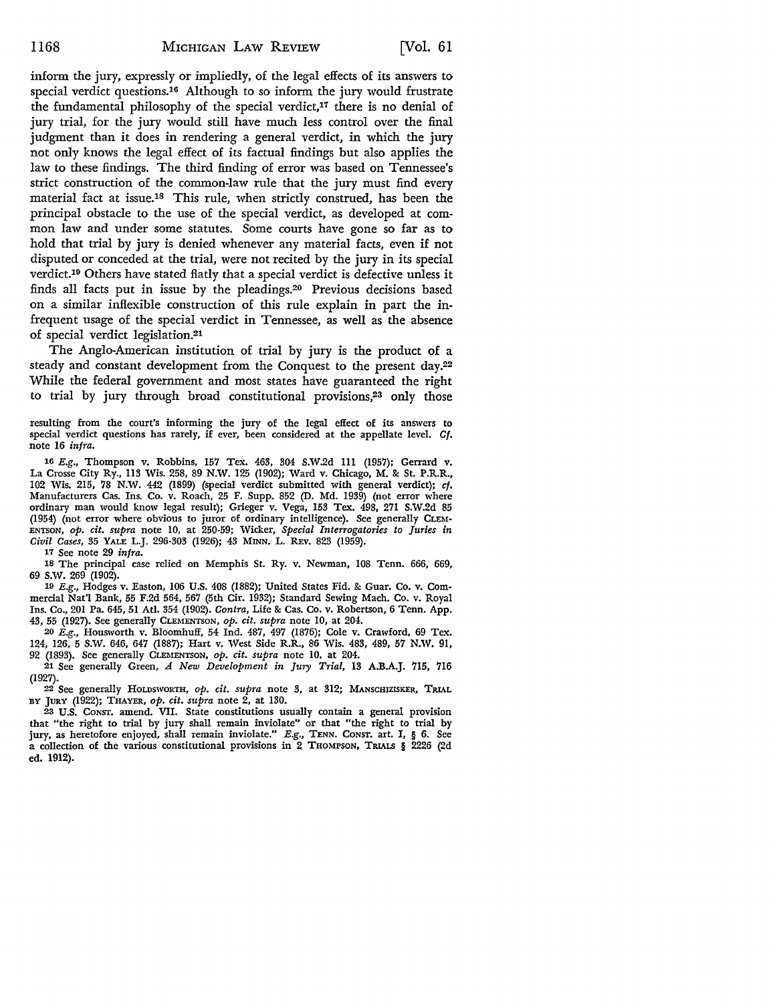inform the jury, expressly or impliedly, of the legal effects of its answers to special verdict questions.16 Although to so inform the jury would frustrate the fundamental philosophy of the special verdict, $17$  there is no denial of jury trial, for the jury would still have much less control over the final judgment than it does in rendering a general verdict, in which the jury not only knows the legal effect of its factual findings but also applies the law to these findings. The third finding of error was based on Tennessee's strict construction of the common-law rule that the jury must find every material fact at issue.18 This rule, when strictly construed, has been the principal obstacle to the use of the special verdict, as developed at common law and under some statutes. Some courts have gone so far as to hold that trial by jury is denied whenever any material facts, even if not disputed or conceded at the trial, were not recited by the jury in its special verdict.19 Others have stated flatly that a special verdict is defective unless it finds all facts put in issue by the pleadings.20 Previous decisions based on a similar inflexible construction of this rule explain in part the infrequent usage of the special verdict in Tennessee, as well as the absence of special verdict legislation.21

The Anglo-American institution of trial by jury is the product of a steady and constant development from the Conquest to the present day.22 While the federal government and most states have guaranteed the right to trial by jury through broad constitutional provisions,23 only those

resulting from the court's informing the jury of the legal effect of its answers to special verdict questions has rarely, if ever, been considered at the appellate level. *Cf.*  note 16 *infra.* 

<sup>16</sup>E.g., Thompson v. Robbins, 157 Tex. 463, 304 S.W.2d lll (1957); Gerrard v. La Crosse City Ry., ll3 Wis. 258, 89 N.W. 125 (1902); Ward v. Chicago, M. & St. P.R.R., 102 Wis. 215, 78 N.W. 442 (1899) (special verdict submitted with general verdict); *cf.*  Manufacturers Cas. Ins. Co. v. Roach, 25 F. Supp. 852 (D. Md. 1939) (not error where ordinary man would know legal result); Grieger v. Vega, 153 Tex. 498, 271 S.W.2d 85 (1954) (not error where obvious to juror of ordinary intelligence). See generally CLEM-ENTSON, *op. cit. supra* note 10, at 250-59; "Wicker, *Special Interrogatories to Juries in Civil Cases,* 35 YALE L.J. 296-303 (1926); 43 MINN. L. REv. 823 (1959).

17 See note 29 *infra.* 

18 The principal case relied on Memphis St. Ry. v. Newman, 108 Tenn. 666, 669, 69 s.w. 269 (1902).

19 E.g., Hodges v. Easton, 106 U.S. 408 (1882); United States Fid. & Guar. Co. v. Commercial Nat'l Bank, 55 F.2d 564, 567 (5th Cir. 1932); Standard Sewing Mach. Co. v. Royal Ins. Co., 201 Pa. 645, 51 Atl. 354 (1902). *Contra,* Life & Cas. Co. v. Robertson, 6 Tenn. App. 43, 55 (1927). See generally CLEMENTSON, *op. cit. supra* note 10, at 204.

20 E.g., Housworth v. Bloomhuff, 54 Ind. 487, 497 (1876); Cole v. Crawford, 69 Tex. 124, 126, 5 S.W. 646, 647 (1887); Hart v. West Side R.R., 86 Wis. 483, 489, 57 **N.W.** 91, 92 (1893). See generally CLEMENTSON, *op. cit. supra* note 10, at 204.

21 See generally Green, *A New Development in Jury Trial,* 13 A.B.A.J. 715, 716 (1927).

22 See generally HOLDSWORTH, *op. cit. supra* note 3, at 312; MANSCHIZISKER, TRIAL BY JURY (1922); THAYER, *op. cit. supra* note 2, at 130.

23 U.S. CoNST. amend. VII. State constitutions usually contain a general provision that "the right to trial by jury shall remain inviolate" or that "the right to trial by jury, as heretofore enjoyed, shall remain inviolate."  $E.g.,$  TENN. Consr. art. I, § 6. See a collection of the various constitutional provisions in 2 THOMPSON, TRIALS § 2226 (2d ed. 1912).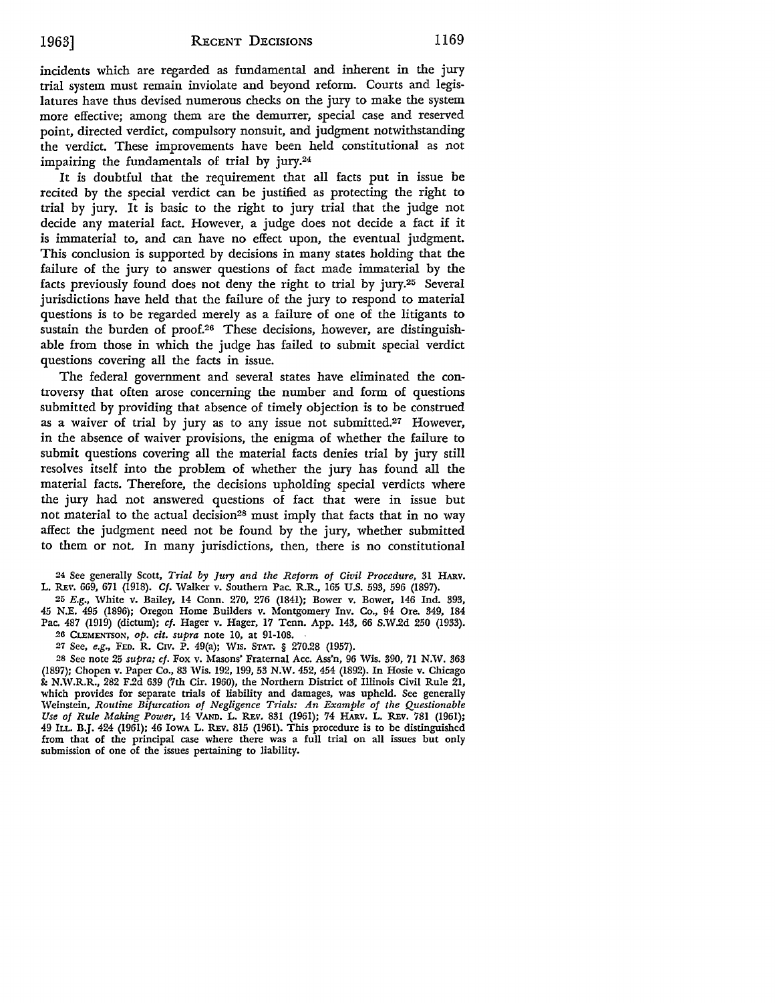incidents which are regarded as fundamental and inherent in the jury trial system must remain inviolate and beyond reform. Courts and legislatures have thus devised numerous checks on the jury to make the system more effective; among them are the demurrer, special case and reserved point, directed verdict, compulsory nonsuit, and judgment notwithstanding the verdict. These improvements have been held constitutional as not impairing the fundamentals of trial by jury.24

It is doubtful that the requirement that all facts put in issue be recited by the special verdict can be justified as protecting the right to trial by jury. It is basic to the right to jury trial that the judge not decide any material fact. However, a judge does not decide a fact if it is immaterial to, and can have no effect upon, the eventual judgment. This conclusion is supported by decisions in many states holding that the failure of the jury to answer questions of fact made immaterial by the facts previously found does not deny the right to trial by jury.25 Several jurisdictions have held that the failure of the jury to respond to material questions is to be regarded merely as a failure of one of the litigants to sustain the burden of proof.26 These decisions, however, are distinguishable from those in which the judge has failed to submit special verdict questions covering all the facts in issue.

The federal government and several states have eliminated the controversy that often arose concerning the number and form of questions submitted by providing that absence of timely objection is to be construed as a waiver of trial by jury as to any issue not submitted.27 However, in the absence of waiver provisions, the enigma of whether the failure to submit questions covering all the material facts denies trial by jury still resolves itself into the problem of whether the jury has found all the material facts. Therefore, the decisions upholding special verdicts where the jury had not answered questions of fact that were in issue but not material to the actual decision<sup>28</sup> must imply that facts that in no way affect the judgment need not be found by the jury, whether submitted to them or not. In many jurisdictions, then, there is no constitutional

24 See generally Scott, *Trial by Jury and the Reform of Civil Procedure,* 31 HARv. L. REv. 669, 671 (1918). *Cf.* Walker v. Southern Pac. R.R., 165 U.S. 593, 596 (1897).

26 *E.g.,* White v. Bailey, 14 Conn. 270, 276 (1841); Bower v. Bower, 146 Ind. 393, 45 N.E. 495 (1896); Oregon Home Builders v. Montgomery Inv. Co., 94 Ore. 349, 184 Pac. 487 (1919) (dictum); *cf.* Hager v. Hager, 17 Tenn. App. 143, 66 S.W.2d 250 (1933). 26 CLEMENTSON, *op. cit. supra* note IO, at 91-108.

27 See, *e.g.,* FED. R. CIV. P. 49(a); WIS. STAT. § 270.28 (1957).

28 See note 25 *supra; cf.* Fox v. Masons' Fraternal Acc. Ass'n, 96 Wis. 390, 71 N.W. 363 (1897); Chopcn v. Paper Co., 83 Wis. 192, 199, 53 N.W. 452, 454 (1892). In Hosie v. Chicago &: N.W.R.R., 282 F.2d 639 (7th Cir. 1960), the Northern District of Illinois Civil Rule 21, which provides for separate trials of liability and damages, was upheld. See generally Weinstein, *Routine Bifurcation of Negligence Trials: An Example of the Questionable Use of Rule Making Power,* 14 VAND. L. REv. 831 (1961); 74 HARV. L. REv. 781 (1961); 49 ILL. B.J. 424 (1961); 46 IowA L. REv. 815 (1961). This procedure is to be distinguished from that of the principal case where there was a full trial on all issues but only submission of one of the issues pertaining to liability.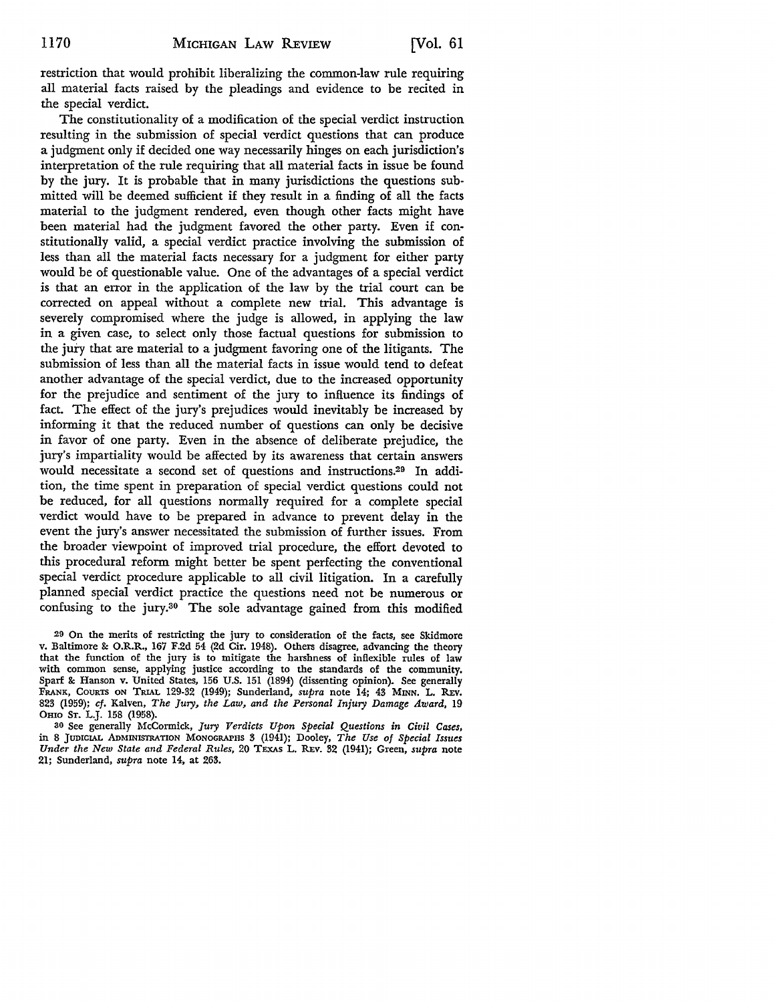restriction that would prohibit liberalizing the common-law rule requiring all material facts raised by the pleadings and evidence to be recited in the special verdict.

The constitutionality of a modification of the special verdict instruction resulting in the submission of special verdict questions that can produce a judgment only if decided one way necessarily hinges on each jurisdiction's interpretation of the rule requiring that all material facts in issue be found by the jury. It is probable that in many jurisdictions the questions submitted will be deemed sufficient if they result in a finding of all the facts material to the judgment rendered, even though other facts might have been material had the judgment favored the other party. Even if constitutionally valid, a special verdict practice involving the submission of less than all the material facts necessary for a judgment for either party would be of questionable value. One of the advantages of a special verdict is that an error in the application of the law by the trial court can be corrected on appeal without a complete new trial. This advantage is severely compromised where the judge is allowed, in applying the law in a given case, to select only those factual questions for submission to the jury that are material to a judgment favoring one of the litigants. The submission of less than all the material facts in issue would tend to defeat another advantage of the special verdict, due to the increased opportunity for the prejudice and sentiment of the jury to influence its findings of fact. The effect of the jury's prejudices would inevitably be increased by informing it that the reduced number of questions can only be decisive in favor of one party. Even in the absence of deliberate prejudice, the jury's impartiality would be affected by its awareness that certain answers would necessitate a second set of questions and instructions.29 In addition, the time spent in preparation of special verdict questions could not be reduced, for all questions normally required for a complete special verdict would have to be prepared in advance to prevent delay in the event the jury's answer necessitated the submission of further issues. From the broader viewpoint of improved trial procedure, the effort devoted to this procedural reform might better be spent perfecting the conventional special verdict procedure applicable to all civil litigation. In a carefully planned special verdict practice the questions need not be numerous or confusing to the jury.30 The sole advantage gained from this modified

29 On the merits of restricting the jury to consideration of the facts, see Skidmore v. Baltimore &: O.R.R., 167 F.2d 54 (2d Cir. 1948). Others disagree, advancing the theory that the function of the jury is to mitigate the harshness of inflexible rules of law with common sense, applying justice according to the standards of the community. Spar£ &: Hanson v. United States, 156 U.S. 151 (1894) (dissenting opinion). See generally FRANK, COURTS ON TRIAL 129-32 (1949); Sunderland, *supra* note 14; 43 MINN. L. REv. 823 (1959); *cf.* Kalven, *The Jury, the Law, and the Personal Injury Damage Award,* 19 OHIO ST. L.J. 158 (1958).

30 See generally McCormick, *Jury Verdicts Upon Special Questions in Civil Cases,*  in 8 JUDICIAL AoMINISI'RATION MONOGRAPHS 3 (1941); Dooley, *The Use of Special Issues Under the New State and Federal Rules,* 20 TEXAS L. REv. 32 (1941); Green, *supra* note 21; Sunderland, *supra* note 14, at 263.